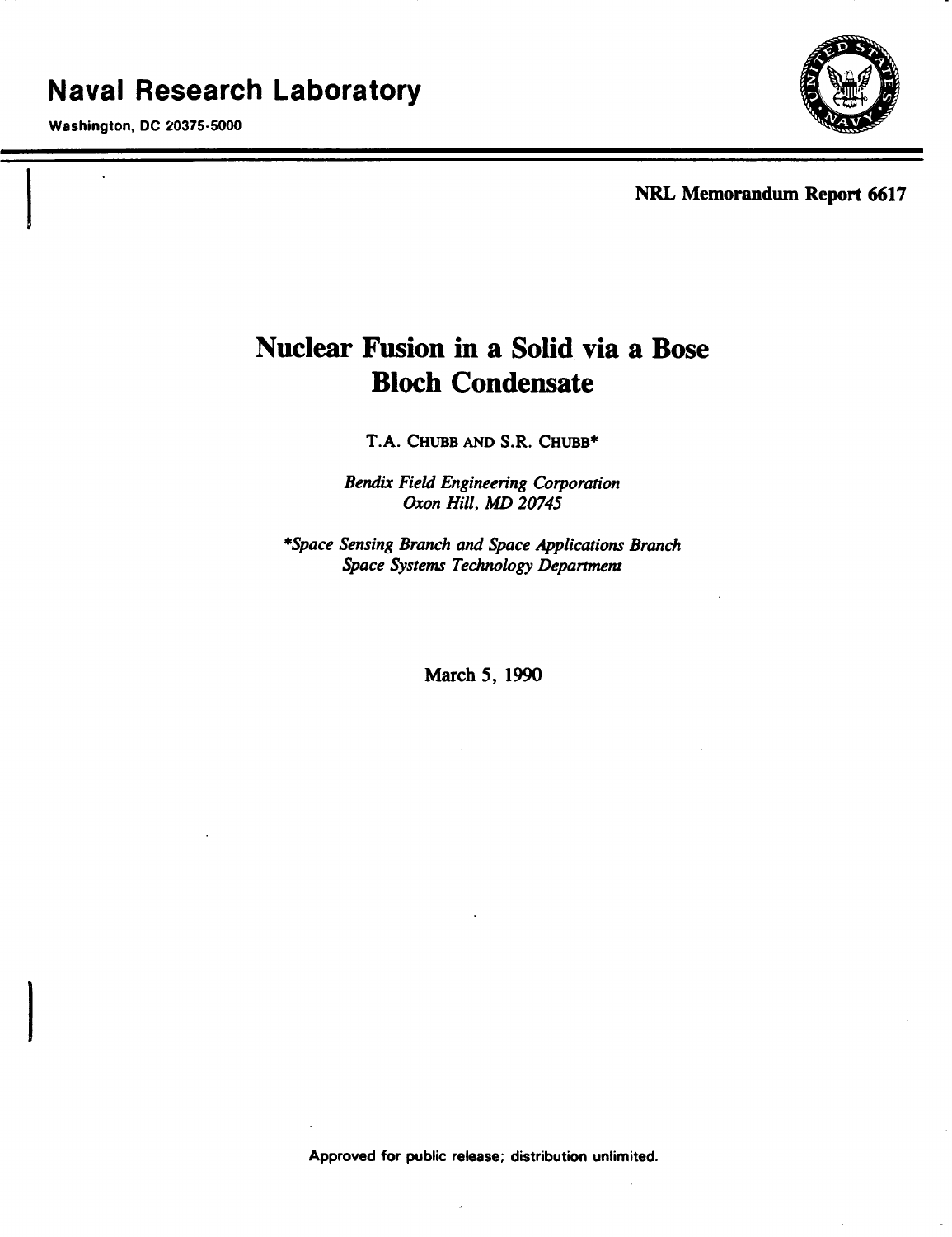Washington, DC 20375-5000



NRL Memorandum Report 6617

# Nuclear Fusion in a Solid via a Bose Bloch Condensate

T.A. CHUBB AND S.R. CHUBB\*

*Bendix Field Engineering Corporation* Oxon *Hill, MD 20745*

*\*Space Sensing Branch and Space Applications Branch Space Systems Technology Department*

March 5, 1990

Approved for public release; distribution unlimited.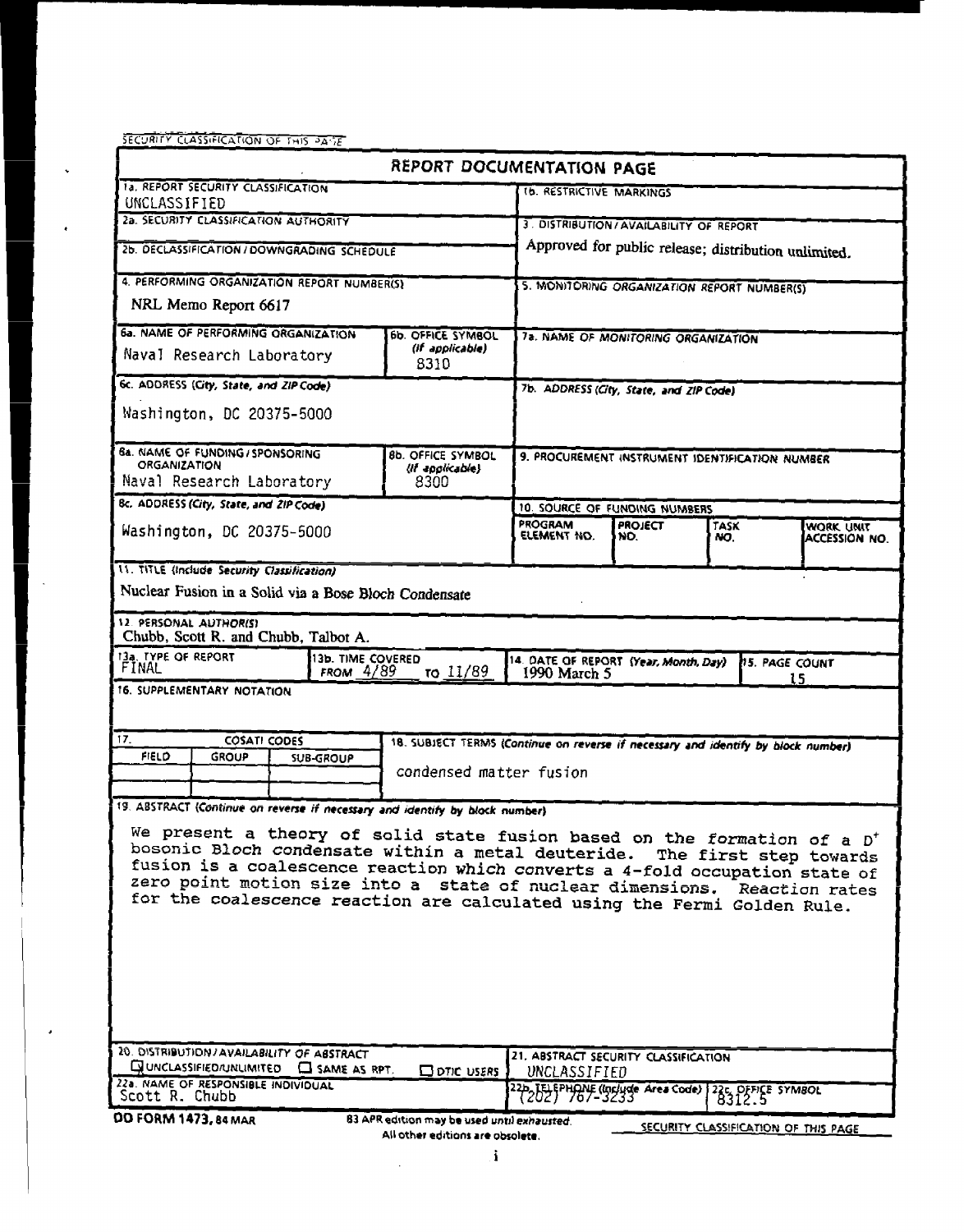SECURITY CLASSIFICATION OF THIS PASE

 $\ddot{\phantom{0}}$ 

 $\ddot{\phantom{0}}$ 

 $\epsilon$ 

| REPORT DOCUMENTATION PAGE                                                                                                                                    |                                                                                                 |                                  |                                                                                   |                                                      |                                                                                |             |                                      |  |
|--------------------------------------------------------------------------------------------------------------------------------------------------------------|-------------------------------------------------------------------------------------------------|----------------------------------|-----------------------------------------------------------------------------------|------------------------------------------------------|--------------------------------------------------------------------------------|-------------|--------------------------------------|--|
| <b>1a. REPORT SECURITY CLASSIFICATION</b><br>UNCLASSIFIED                                                                                                    |                                                                                                 |                                  |                                                                                   | <b>1b. RESTRICTIVE MARKINGS</b>                      |                                                                                |             |                                      |  |
| 2a. SECURITY CLASSIFICATION AUTHORITY                                                                                                                        |                                                                                                 |                                  |                                                                                   | 3. DISTRIBUTION/AVAILABILITY OF REPORT               |                                                                                |             |                                      |  |
| 2b. DECLASSIFICATION / DOWNGRADING SCHEDULE                                                                                                                  |                                                                                                 |                                  |                                                                                   | Approved for public release; distribution unlimited. |                                                                                |             |                                      |  |
| 4. PERFORMING ORGANIZATION REPORT NUMBER(S)                                                                                                                  |                                                                                                 |                                  |                                                                                   | 5. MONITORING ORGANIZATION REPORT NUMBER(S)          |                                                                                |             |                                      |  |
| NRL Memo Report 6617                                                                                                                                         |                                                                                                 |                                  |                                                                                   |                                                      |                                                                                |             |                                      |  |
|                                                                                                                                                              | 6a. NAME OF PERFORMING ORGANIZATION<br>60 OFFICE SYMBOL<br>(if applicable)                      |                                  |                                                                                   | 7a. NAME OF MONITORING ORGANIZATION                  |                                                                                |             |                                      |  |
|                                                                                                                                                              | Naval Research Laboratory                                                                       |                                  | 8310                                                                              |                                                      |                                                                                |             |                                      |  |
| 6c. ADDRESS (City, State, and ZIP Code)                                                                                                                      |                                                                                                 |                                  |                                                                                   | 7b. ADDRESS (City, State, and ZIP Code)              |                                                                                |             |                                      |  |
| Washington, DC 20375-5000                                                                                                                                    |                                                                                                 |                                  |                                                                                   |                                                      |                                                                                |             |                                      |  |
|                                                                                                                                                              | <b>6a. NAME OF FUNDING / SPONSORING</b><br>8b. OFFICE SYMBOL<br>ORGANIZATION<br>(if applicable) |                                  |                                                                                   | 9. PROCUREMENT INSTRUMENT IDENTIFICATION NUMBER      |                                                                                |             |                                      |  |
| Naval Research Laboratory                                                                                                                                    |                                                                                                 | 8300                             |                                                                                   |                                                      |                                                                                |             |                                      |  |
|                                                                                                                                                              | 8c. ADDRESS (City, State, and ZIP Code)                                                         |                                  |                                                                                   |                                                      | 10. SOURCE OF FUNDING NUMBERS                                                  |             |                                      |  |
| Washington, DC 20375-5000                                                                                                                                    |                                                                                                 |                                  |                                                                                   | <b>PROGRAM</b><br>ELEMENT NO.                        | <b>PROJECT</b><br>ND.                                                          | TASK<br>NO. | WORK UNIT<br>ACCESSION NO.           |  |
| 11. TITLE (Include Security Classification)                                                                                                                  |                                                                                                 |                                  |                                                                                   |                                                      |                                                                                |             |                                      |  |
| Nuclear Fusion in a Solid via a Bose Bloch Condensate                                                                                                        |                                                                                                 |                                  |                                                                                   |                                                      |                                                                                |             |                                      |  |
|                                                                                                                                                              | 12. PERSONAL AUTHOR(S)<br>Chubb, Scott R. and Chubb, Talbot A.                                  |                                  |                                                                                   |                                                      |                                                                                |             |                                      |  |
| 13a. TYPE OF REPORT<br>FINAL                                                                                                                                 |                                                                                                 | 13b. TIME COVERED<br>FROM $4/89$ | το 11/89                                                                          |                                                      | 14. DATE OF REPORT (Year, Month, Day)<br><b>PS. PAGE COUNT</b><br>1990 March 5 |             | 15                                   |  |
|                                                                                                                                                              | 16. SUPPLEMENTARY NOTATION                                                                      |                                  |                                                                                   |                                                      |                                                                                |             |                                      |  |
|                                                                                                                                                              |                                                                                                 |                                  |                                                                                   |                                                      |                                                                                |             |                                      |  |
| 17.<br><b>FIELD</b>                                                                                                                                          | <b>COSATI CODES</b><br><b>GROUP</b>                                                             |                                  | 18. SUBJECT TERMS (Continue on reverse if necessary and identify by block number) |                                                      |                                                                                |             |                                      |  |
|                                                                                                                                                              |                                                                                                 | <b>SUB-GROUP</b>                 | condensed matter fusion                                                           |                                                      |                                                                                |             |                                      |  |
|                                                                                                                                                              |                                                                                                 |                                  |                                                                                   |                                                      |                                                                                |             |                                      |  |
| 19. ABSTRACT (Continue on reverse if necessary and identify by block number)                                                                                 |                                                                                                 |                                  |                                                                                   |                                                      |                                                                                |             |                                      |  |
| We present a theory of solid state fusion based on the formation of a $D^+$<br>bosonic Bloch condensate within a metal deuteride.<br>The first step towards  |                                                                                                 |                                  |                                                                                   |                                                      |                                                                                |             |                                      |  |
|                                                                                                                                                              |                                                                                                 |                                  |                                                                                   |                                                      |                                                                                |             |                                      |  |
| fusion is a coalescence reaction which converts a 4-fold occupation state of<br>zero point motion size into a state of nuclear dimensions.<br>Reaction rates |                                                                                                 |                                  |                                                                                   |                                                      |                                                                                |             |                                      |  |
| for the coalescence reaction are calculated using the Fermi Golden Rule.                                                                                     |                                                                                                 |                                  |                                                                                   |                                                      |                                                                                |             |                                      |  |
|                                                                                                                                                              |                                                                                                 |                                  |                                                                                   |                                                      |                                                                                |             |                                      |  |
|                                                                                                                                                              |                                                                                                 |                                  |                                                                                   |                                                      |                                                                                |             |                                      |  |
|                                                                                                                                                              |                                                                                                 |                                  |                                                                                   |                                                      |                                                                                |             |                                      |  |
|                                                                                                                                                              |                                                                                                 |                                  |                                                                                   |                                                      |                                                                                |             |                                      |  |
|                                                                                                                                                              |                                                                                                 |                                  |                                                                                   |                                                      |                                                                                |             |                                      |  |
| 20. DISTRIBUTION/AVAILABILITY OF ABSTRACT<br>$Q$ UNCLASSIFIED/UNLIMITED $Q$ same as RPT.<br>$\Box$ DTIC USERS                                                |                                                                                                 |                                  |                                                                                   | 21. ABSTRACT SECURITY CLASSIFICATION<br>UNCLASSIFIED |                                                                                |             |                                      |  |
| 22a. NAME OF RESPONSIBLE INDIVIDUAL<br>Scott R. Chubb                                                                                                        |                                                                                                 |                                  |                                                                                   |                                                      | 220 TELEPHONE (Include Area Code) 22c, OFFICE SYMBOL                           |             |                                      |  |
| <b>DD FORM 1473, 84 MAR</b><br>83 APR edition may be used until exhausted.                                                                                   |                                                                                                 |                                  |                                                                                   |                                                      |                                                                                |             |                                      |  |
|                                                                                                                                                              |                                                                                                 |                                  | All other editions are obsolete.                                                  |                                                      |                                                                                |             | SECURITY CLASSIFICATION OF THIS PAGE |  |

 $\sim$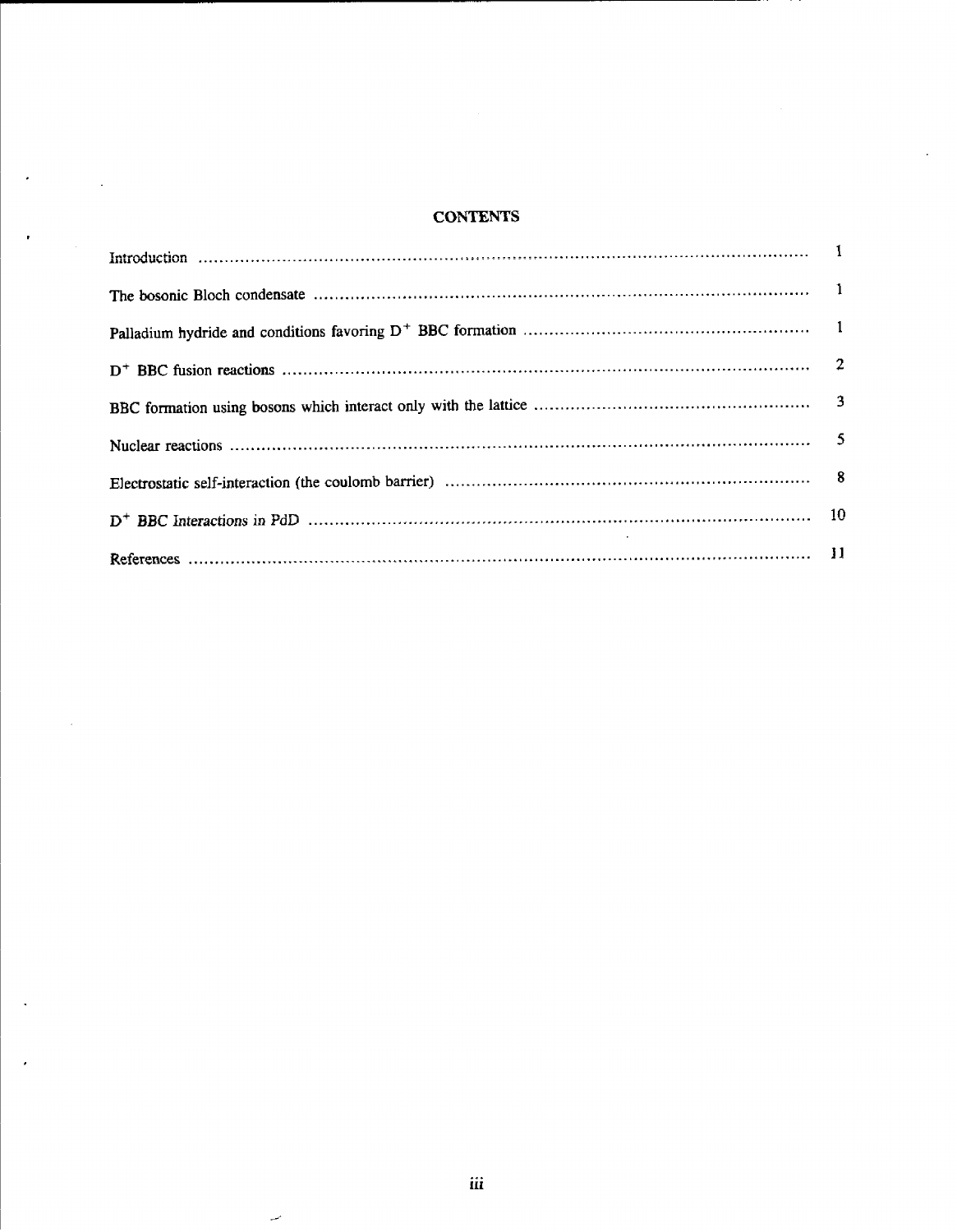# **CONTENTS**

 $\ddot{\phantom{0}}$ 

 $\bar{z}$ 

 $\sim$ 

 $\bar{z}$ 

l,

 $\bar{\boldsymbol{\beta}}$ 

J.

 $\overline{\phantom{a}}$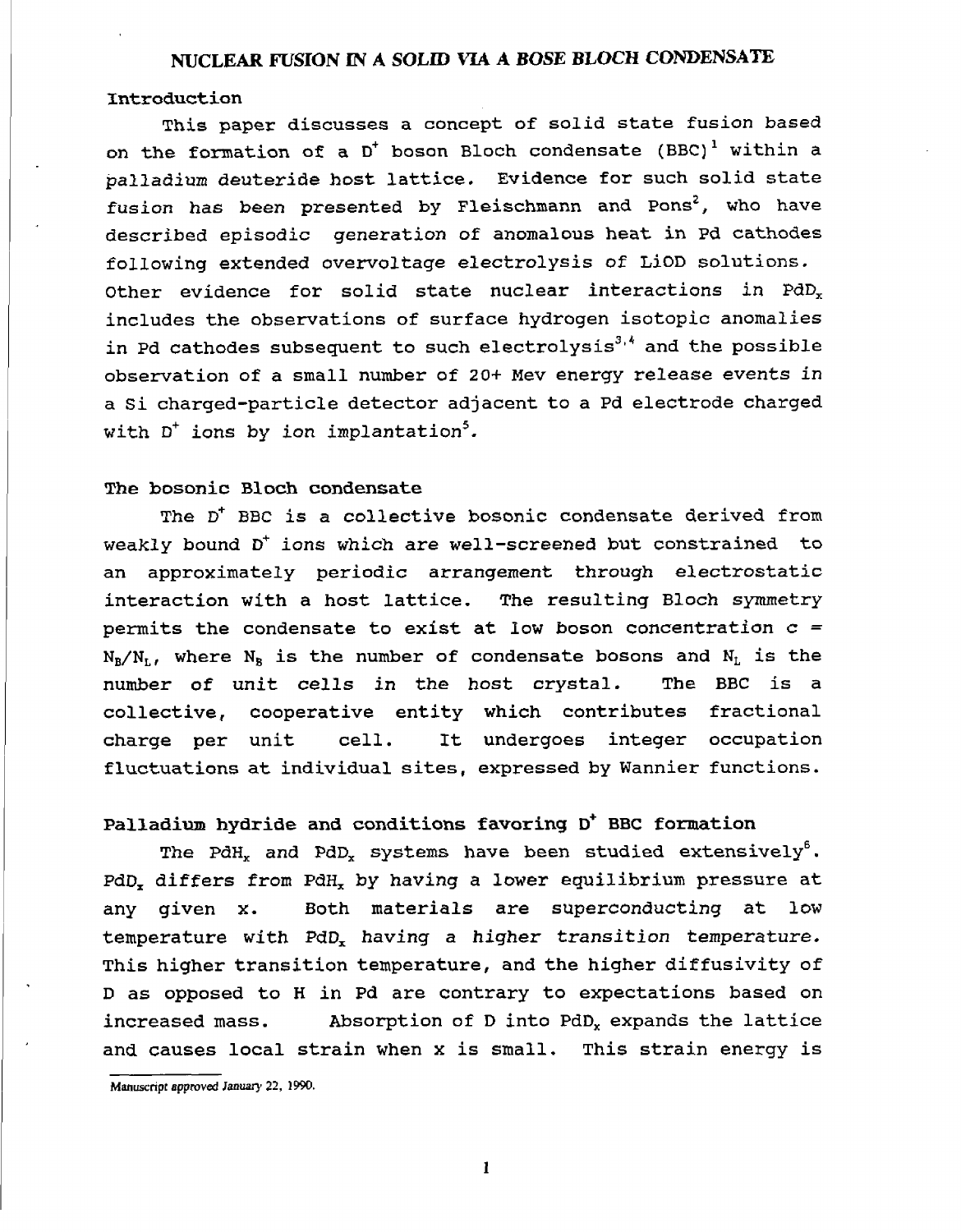#### NUCLEAR FUSION IN A SOLID **VIA** A *BOSE* BLOCH CONDENSATE

#### Introduction

This paper discusses a concept of solid state fusion based on the formation of a  $D^+$  boson Bloch condensate (BBC)<sup>1</sup> within a palladium deuteride host lattice. Evidence for such solid state fusion has been presented by Fleischmann and Pons<sup>2</sup>, who have described episodic generation of anomalous heat in Pd cathodes following extended overvoltage electrolysis of LiOD solutions. Other evidence for solid state nuclear interactions in  $PdD_x$ includes the observations of surface hydrogen isotopic anomalies in Pd cathodes subsequent to such electrolysis $3,4$  and the possible observation of a small number of 20+ Mev energy release events in a Si charged-particle detector adjacent to a Pd electrode charged with  $D^+$  ions by ion implantation<sup>5</sup>.

### The bosonic Bloch condensate

The D<sup>+</sup> BBC is a collective bosonic condensate derived from weakly bound D<sup>+</sup> ions which are well-screened but constrained to an approximately periodic arrangement through electrostatic interaction with a host lattice. The resulting Bloch symmetry permits the condensate to exist at low boson concentration  $c =$  $N_B/N_L$ , where  $N_B$  is the number of condensate bosons and  $N_L$  is the number of unit cells in the host crystal. The BBC is a collective, cooperative entity which contributes fractional charge per unit cell. It undergoes integer occupation fluctuations at individual sites, expressed by Wannier functions.

# Palladium hydride and conditions favoring D<sup>+</sup> BBC formation

The PdH<sub>x</sub> and PdD<sub>x</sub> systems have been studied extensively<sup>6</sup>. PdD, differs from PdH, by having a lower equilibrium pressure at any given x. Both materials are superconducting at low temperature with PdD, having a higher transition temperature. This higher transition temperature, and the higher diffusivity of D as opposed to H in Pd are contrary to expectations based on increased mass. Absorption of D into PdD, expands the lattice and causes local strain when x is small. This strain energy is

I

Manuscnpr *approved Januar'* **22.** 2990.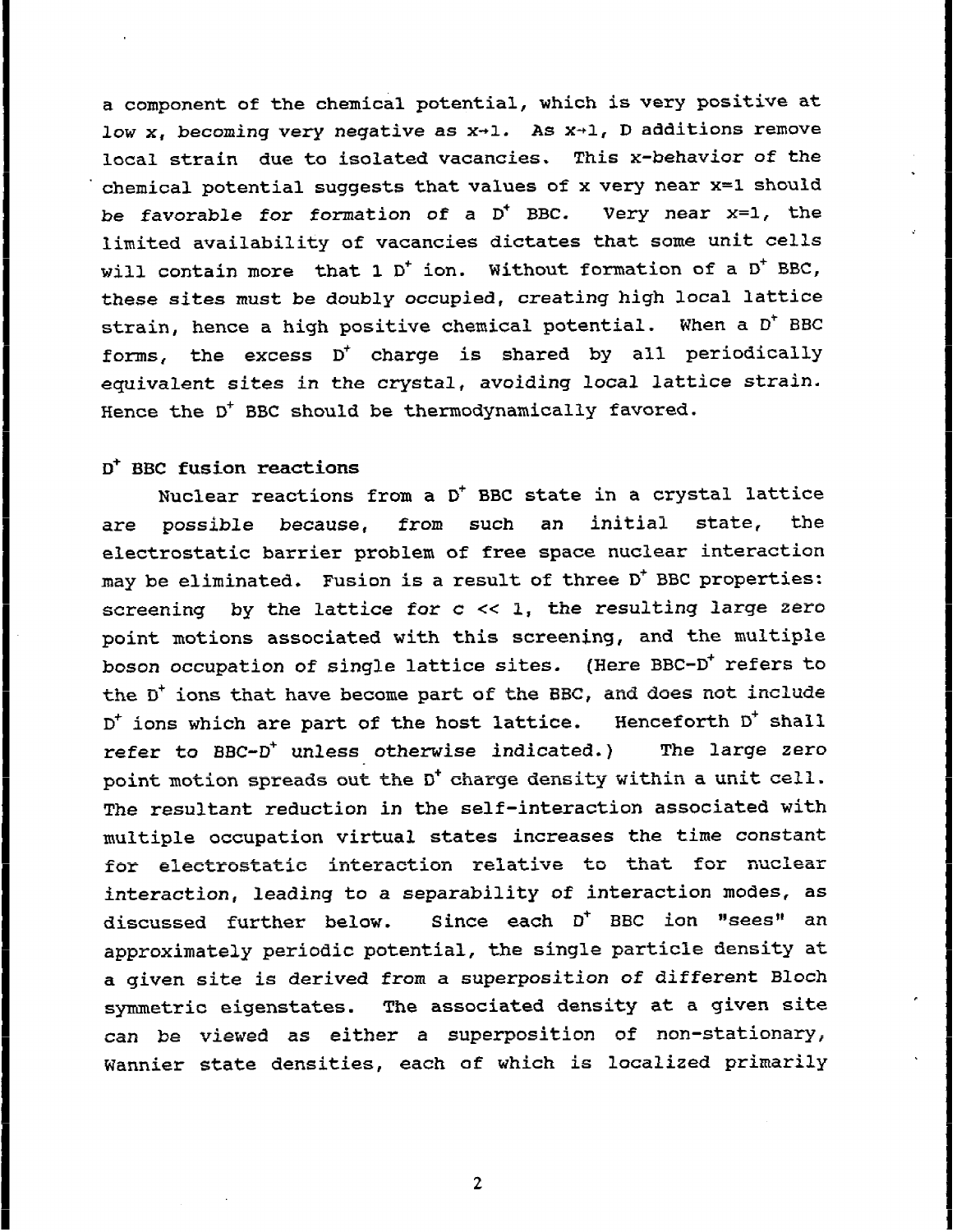a component of the chemical potential, which is very positive at low  $x_i$ , becoming very negative as  $x+1$ . As  $x+1$ , D additions remove local strain due to isolated vacancies. This x-behavior of the chemical potential suggests that values of x very near x=l should be favorable for formation of a  $D^+$  BBC. Very near  $x=1$ , the limited availability of vacancies dictates that some unit cells will contain more that 1 D<sup>+</sup> ion. Without formation of a D<sup>+</sup> BBC, these sites must be doubly occupied, creating high local lattice strain, hence a high positive chemical potential. When a D<sup>+</sup> BBC forms, the excess  $D^+$  charge is shared by all periodically equivalent sites in the crystal, avoiding local lattice strain. Hence the  $D^+$  BBC should be thermodynamically favored.

I

I

I

I

I

I

I

I

I

I

I

**II**

# $D^*$  BBC fusion reactions

I

Nuclear reactions from a  $D^+$  BBC state in a crystal lattice are possible because, from such an initial state, the electrostatic barrier problem of free space nuclear interaction may be eliminated. Fusion is a result of three  $D^+$  BBC properties: screening by the lattice for  $c \ll 1$ , the resulting large zero point motions associated with this screening, and the multiple boson occupation of single lattice sites. (Here BBC-D<sup>+</sup> refers to the  $D^+$  ions that have become part of the BBC, and does not include D<sup>+</sup> ions which are part of the host lattice. Henceforth D<sup>+</sup> shall refer to BBC-D<sup>+</sup> unless otherwise indicated.) The large zero point motion spreads out the D<sup>+</sup> charge density within a unit cell. The resultant reduction in the self-interaction associated with multiple occupation virtual states increases the time constant for electrostatic interaction relative to that for nuclear interaction, leading to a separability of interaction modes, as discussed further below. Since each D<sup>+</sup> BBC ion "sees" an approximately periodic potential, the single particle density at a given site is derived from a superposition of different Bloch symmetric eigenstates. The associated density at a given site can be viewed as either a superposition of non-stationary, Wannier state densities, each of which is localized primarily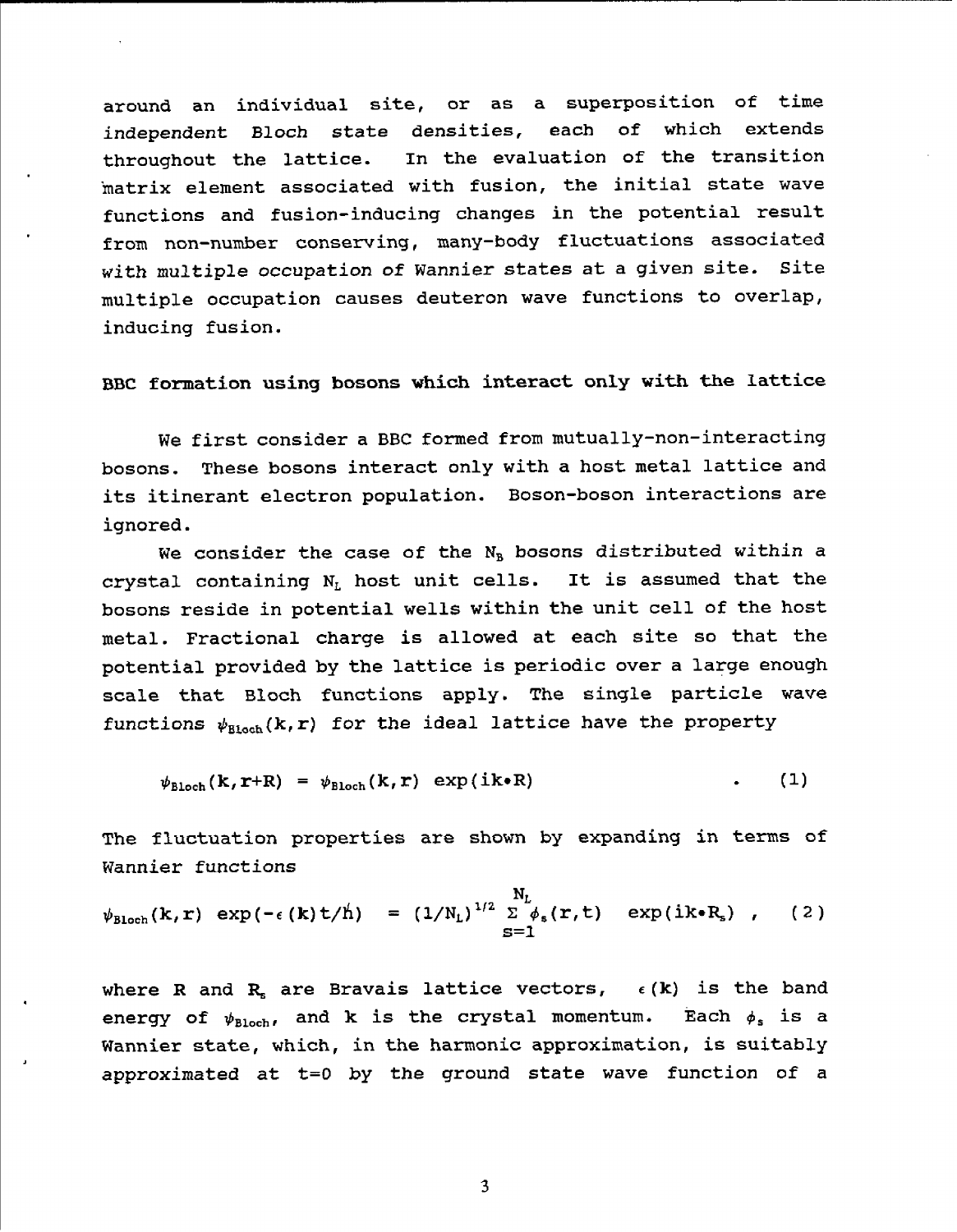around an individual site, or as a superposition of time independent Bloch state densities, each of which extends throughout the lattice. In the evaluation of the transition 'matrix element associated with fusion, the initial state wave functions and fusion-inducing changes in the potential result from non-number conserving, many-body fluctuations associated with multiple occupation of Wannier states at a given site. Site multiple occupation causes deuteron wave functions to overlap, inducing fusion.

BBC formation using bosons which interact only with the lattice

We first consider a BBC formed from mutually-non-interacting bosons. These bosons interact only with a host metal lattice and its itinerant electron population. Boson-boson interactions are ignored.

We consider the case of the  $N_B$  bosons distributed within a crystal containing  $N_L$  host unit cells. It is assumed that the bosons reside in potential wells within the unit cell of the host metal. Fractional charge is allowed at each site so that the potential provided by the lattice is periodic over a large enough scale that Bloch functions apply. The single particle wave functions  $\psi_{\text{Bloch}}(k,r)$  for the ideal lattice have the property

$$
\psi_{\text{Bloch}}(k,r+R) = \psi_{\text{Bloch}}(k,r) \exp(ik\cdot R) \qquad (1)
$$

The fluctuation properties are shown by expanding in terms of Wannier functions

$$
\psi_{\text{Bloch}}(\mathbf{k},\mathbf{r}) \exp(-\epsilon(\mathbf{k})\mathbf{t}/\mathring{\mathbf{h}}) = (1/\mathbf{N}_{\text{L}})^{1/2} \sum_{\mathbf{S}=1}^{N_{\text{L}}} \phi_{\text{s}}(\mathbf{r},\mathbf{t}) \exp(i\mathbf{k}\cdot\mathbf{R}_{\text{s}}), \quad (2)
$$

where R and R, are Bravais lattice vectors,  $\epsilon$  (k) is the band energy of  $\psi_{\text{Bloch}}$ , and k is the crystal momentum. Each  $\phi_s$  is a Wannier state, which, in the harmonic approximation, is suitably approximated at t=O by the ground state wave function of a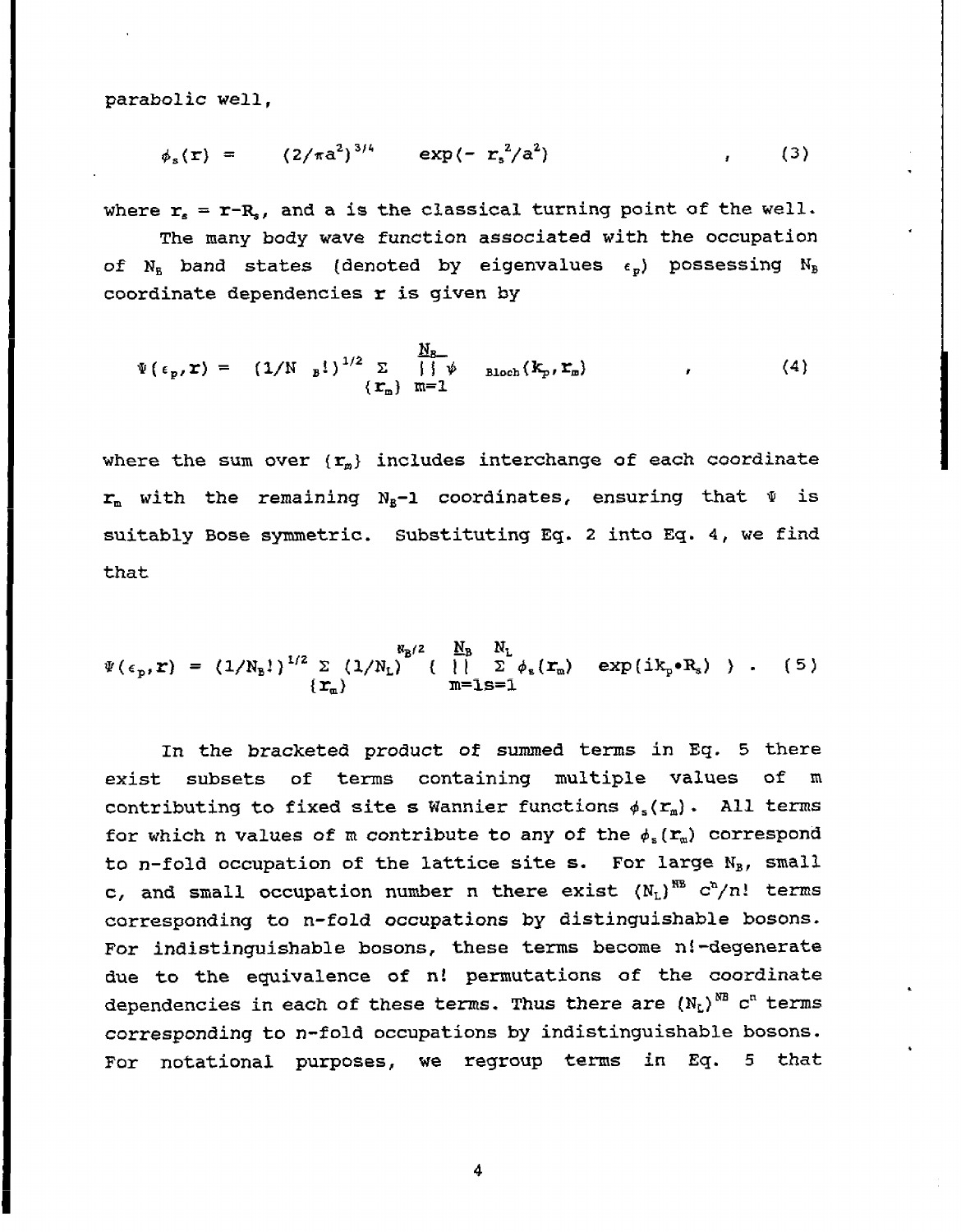parabolic well,

$$
\phi_{s}(\mathbf{r}) = (2/\pi a^{2})^{3/4} \exp(-r_{s}^{2}/a^{2}) \qquad (3)
$$

where  $r_s = r - R_s$ , and a is the classical turning point of the well. The many body wave function associated with the occupation of  $N_B$  band states (denoted by eigenvalues  $\epsilon_p$ ) possessing  $N_B$ coordinate dependencies  $r$  is given by

$$
\Psi(\epsilon_p, \mathbf{r}) = (1/N - p!)^{1/2} \sum_{\{\mathbf{r}_m\}} \frac{N_B}{|\phi|} \text{Bloch}(\mathbf{k}_p, \mathbf{r}_m) \qquad (4)
$$

where the sum over  $\{r_m\}$  includes interchange of each coordinate  $r_m$  with the remaining N<sub>R</sub>-1 coordinates, ensuring that  $\Psi$  is suitably Bose symmetric. Substituting Eq. 2 into Eq. 4, we find that

$$
\Psi(\epsilon_p, \mathbf{r}) = (1/N_p!)^{1/2} \sum_{\lbrace \mathbf{r}_m \rbrace} (1/N_L)^{R_p/2} \left\{ \begin{array}{ll} N_p & N_L \\ | \ \vert & \sum_{\phi_s} (\mathbf{r}_m) \end{array} \right. \exp\left(i k_p \cdot R_s \right) \quad , \quad (5)
$$

In the bracketed product of summed terms in Eq. 5 there exist subsets of terms containing multiple values of m contributing to fixed site s Wannier functions  $\phi_s(r_m)$ . All terms for which n values of m contribute to any of the  $\phi_s(r_m)$  correspond to n-fold occupation of the lattice site s. For large  $N_B$ , small c, and small occupation number n there exist  $(N_L)^{RB}$  c<sup>h</sup>/n! terms corresponding to n-fold occupations by distinguishable bosons. For indistinguishable bosons, these terms become n!-degenerate due to the equivalence of n! permutations of the coordinate dependencies in each of these terms. Thus there are  $(N_L)^{NB}$  c<sup>n</sup> terms corresponding to n-fold occupations by indistinguishable bosons. For notational purposes, we regroup terms in Eq. 5 that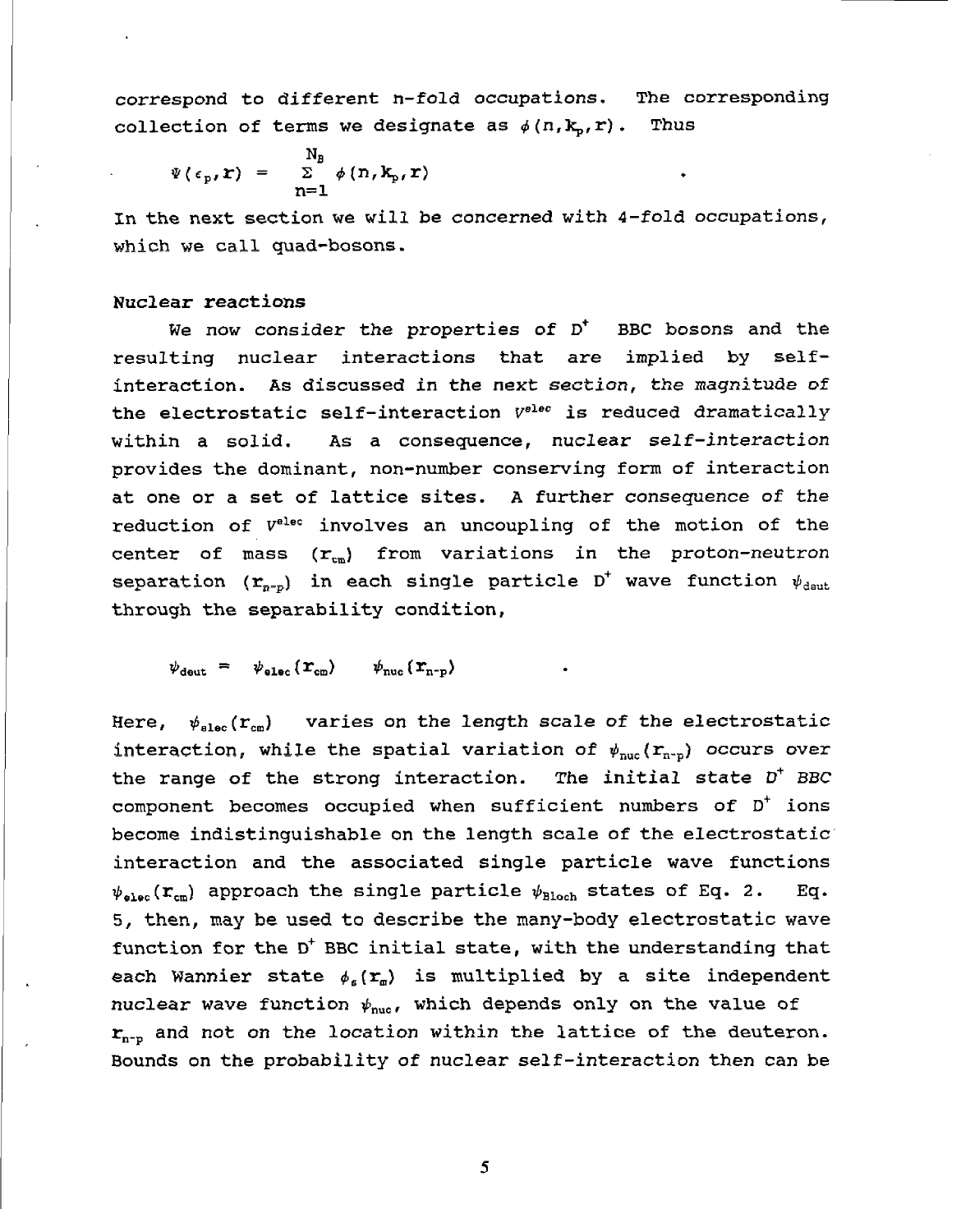correspond to different n-fold occupations. The corresponding collection of terms we designate as  $\phi(n, k_p, r)$ . Thus

$$
\Psi(\epsilon_{\rm p}, \mathbf{r}) = \sum_{n=1}^{\rm N_B} \phi(n, \mathbf{k}_{\rm p}, \mathbf{r})
$$

In the next section we will be concerned with 4-fold occupations, which we call quad-bosons.

#### Nuclear reactions

We now consider the properties of  $D^{\dagger}$  BBC bosons and the resulting nuclear interactions that are implied by selfinteraction. As discussed in the next section, the magnitude of the electrostatic self-interaction  $V^{elec}$  is reduced dramatically within a solid. As a consequence, nuclear self-interaction provides the dominant, non-number conserving form of interaction at one or a set of lattice sites. A further consequence of the reduction of  $V^{elec}$  involves an uncoupling of the motion of the center of mass  $(r_{cm})$  from variations in the proton-neutron separation  $(r_{p-p})$  in each single particle D<sup>+</sup> wave function  $\psi_{\text{deut}}$ through the separability condition,

 $\psi_{\text{deut}} = \psi_{\text{elec}}(\mathbf{r}_{\text{cm}}) \qquad \psi_{\text{nuc}}(\mathbf{r}_{\text{n-p}})$ 

Here,  $\psi_{\text{else}}(\mathbf{r}_{\text{cm}})$  varies on the length scale of the electrostatic interaction, while the spatial variation of  $\psi_{\text{nuc}}(\mathbf{r}_{\text{n-p}})$  occurs over the range of the strong interaction. The initial state  $D^+$  BBC component becomes occupied when sufficient numbers of  $D^+$  ions become indistinguishable on the length scale of the electrostatic interaction and the associated single particle wave functions  $\psi_{\text{elec}}(\mathbf{r}_{\text{cm}})$  approach the single particle  $\psi_{\text{Bloch}}$  states of Eq. 2. Eq. 5, then, may be used to describe the many-body electrostatic wave function for the  $D^+$  BBC initial state, with the understanding that each Wannier state  $\phi_{\epsilon}(\mathbf{r}_{m})$  is multiplied by a site independent nuclear wave function  $\psi_{\text{nuc}}$ , which depends only on the value of  $r_{n-p}$  and not on the location within the lattice of the deuteron. Bounds on the probability of nuclear self-interaction then can be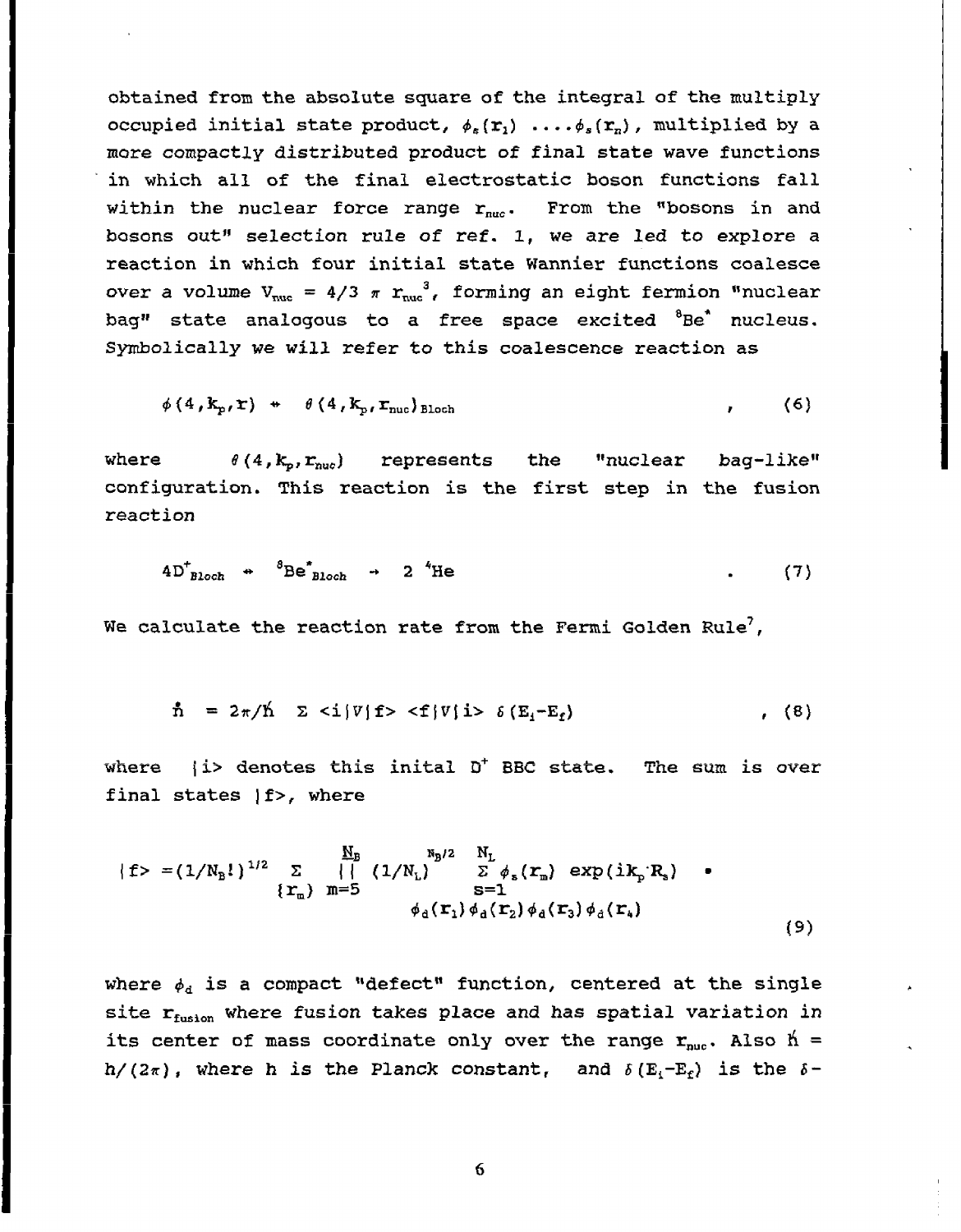obtained from the absolute square of the integral of the multiply occupied initial state product,  $\phi_s(\mathbf{r}_1)$  .... $\phi_s(\mathbf{r}_n)$ , multiplied by a more compactly distributed product of final state wave functions *in* which all of the final electrostatic boson functions fall within the nuclear force range  $r_{nuc}$ . From the "bosons in and bosons out" selection rule of ref. 1, we are led to explore a reaction in which four initial state Wannier functions coalesce over a volume  $V_{nuc} = 4/3 \pi r_{nuc}^3$ , forming an eight fermion "nuclear bag" state analogous to a free space excited  ${}^{8}$ Be<sup>t</sup> nucleus. Symbolically we will refer to this coalescence reaction as

\*(4,%, r) *d* **G ( <sup>4</sup> 3kpIrfUC)EBlOCh ,** (6)

where  $\theta(4, k_o, r_{nuc})$  represents the "nuclear bag-like" configuration. This reaction is the first step in the fusion reaction

$$
4D_{\text{Bloch}}^+ \rightarrow {}^{8}\text{Be}_{\text{Bloch}}^+ \rightarrow 2 {}^{4}\text{He}
$$
 (7)

We calculate the reaction rate from the Fermi Golden Rule',

$$
\tilde{\mathbf{n}} = 2\pi/\hat{\mathbf{n}} \quad \Sigma \leq \mathbf{i} |\mathbf{V}| \mathbf{f} > \mathbf{f} |\mathbf{V}| \mathbf{i} > \delta \left( \mathbf{E}_i - \mathbf{E}_f \right) \tag{8}
$$

where  $|i\rangle$  denotes this inital D<sup>+</sup> BBC state. The sum is over final states **If>,** where

$$
\begin{array}{lll}\n\{\mathbf{f} & \mathbf{f} & \mathbf{f}_B & \mathbf{f}_L \\
\{\mathbf{f} & \mathbf{f} & \mathbf{f}_B & \mathbf{f}_L \\
\{\mathbf{f}_m\} & \mathbf{f}_m = 5 & \mathbf{f}_m\} & \mathbf{f}_L \\
\{\mathbf{f}_m\} & \mathbf{f}_m = 5 & \mathbf{f}_m & \mathbf{f}_L \\
\{\mathbf{f}_m\} & \mathbf{f}_m = 5 & \mathbf{f}_L \\
\{\mathbf{f}_m\} & \mathbf{f}_m = 5 & \mathbf{f}_L \\
\{\mathbf{f}_m\} & \mathbf{f}_m = 5 & \mathbf{f}_L \\
\{\mathbf{f}_m\} & \mathbf{f}_m = 5 & \mathbf{f}_L \\
\{\mathbf{f}_m\} & \mathbf{f}_m = 5 & \mathbf{f}_L \\
\{\mathbf{f}_m\} & \mathbf{f}_m = 5 & \mathbf{f}_L \\
\{\mathbf{f}_m\} & \mathbf{f}_m = 5 & \mathbf{f}_L \\
\{\mathbf{f}_m\} & \mathbf{f}_m = 5 & \mathbf{f}_L \\
\{\mathbf{f}_m\} & \mathbf{f}_m = 5 & \mathbf{f}_L \\
\{\mathbf{f}_m\} & \mathbf{f}_m = 5 & \mathbf{f}_L \\
\{\mathbf{f}_m\} & \mathbf{f}_m = 5 & \mathbf{f}_L \\
\{\mathbf{f}_m\} & \mathbf{f}_m = 5 & \mathbf{f}_L \\
\{\mathbf{f}_m\} & \mathbf{f}_m = 5 & \mathbf{f}_L \\
\{\mathbf{f}_m\} & \mathbf{f}_m = 5 & \mathbf{f}_L \\
\{\mathbf{f}_m\} & \mathbf{f}_m = 5 & \mathbf{f}_L \\
\{\mathbf{f}_m\} & \mathbf{f}_m = 5 & \mathbf{f}_L \\
\{\mathbf{f}_m\} & \mathbf{f}_m = 5 & \mathbf{f}_L \\
\{\mathbf{f}_m\} & \mathbf{f}_m = 5 & \mathbf{f}_L \\
\{\mathbf{f}_m\} & \mathbf{f}_m = 5 & \mathbf{f}_L \\
\{\mathbf{f}_m\} & \mathbf{f}_m = 5 & \mathbf{f}_L \\
\{\mathbf{f}_m\} &
$$

where  $\phi_d$  is a compact "defect" function, centered at the single site  $r_{fusion}$  where fusion takes place and has spatial variation in its center of mass coordinate only over the range  $r_{\text{nuc}}$ . Also  $h =$ h/(2 $\pi$ ), where h is the Planck constant, and  $\delta(E_i-E_f)$  is the  $\delta$ -

6

I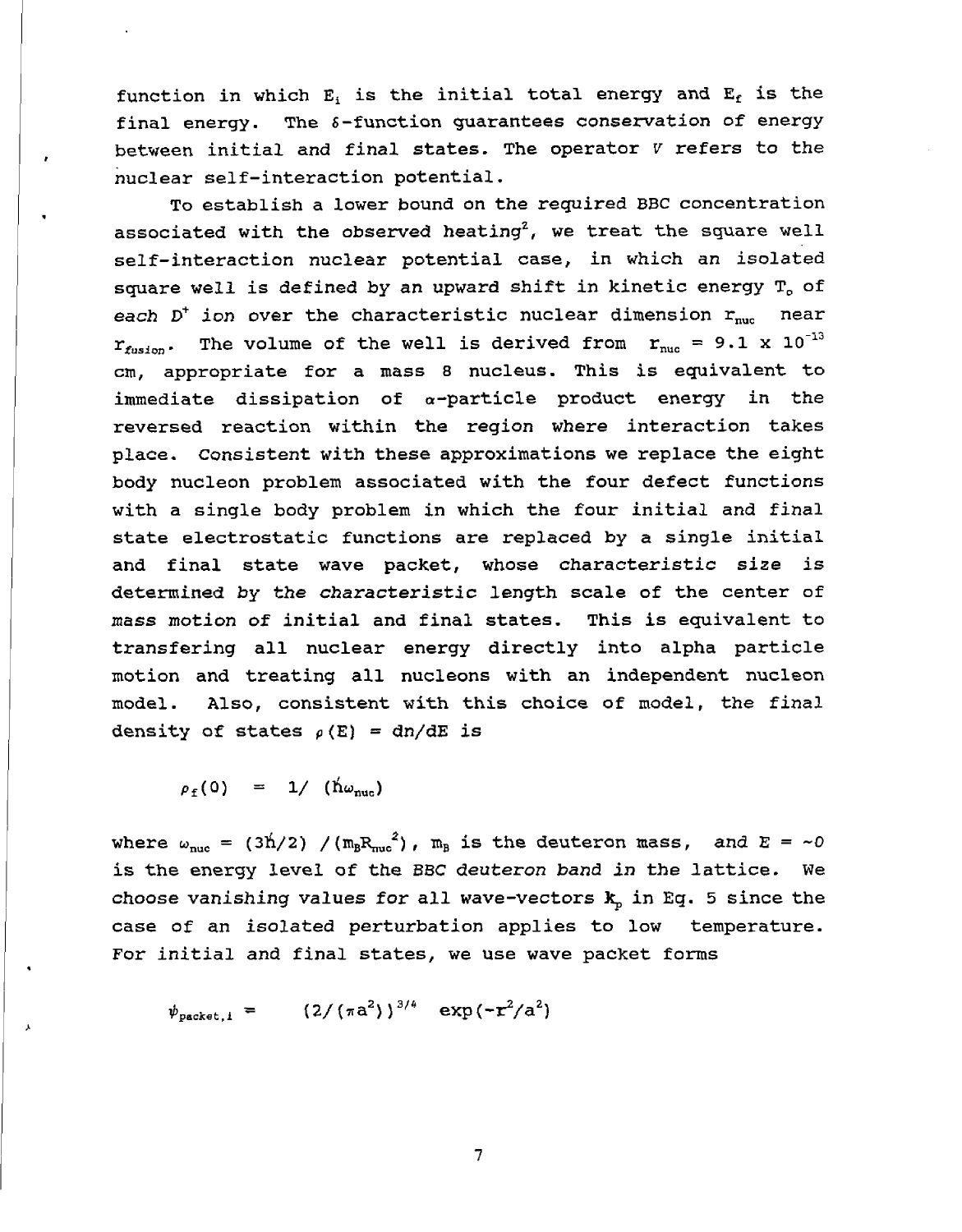function in which  $E_i$  is the initial total energy and  $E_f$  is the final energy. The 6-function guarantees conservation of energy between initial and final states. The operator V refers to the nuclear self-interaction potential.

To establish a lower bound on the required BBC concentration associated with the observed heating<sup>2</sup>, we treat the square well self-interaction nuclear potential case, in which an isolated square well is defined by an upward shift in kinetic energy  $T_0$  of each  $D^+$  ion over the characteristic nuclear dimension  $r_{\text{nuc}}$  near  $r_{fusion}$ . The volume of the well is derived from  $r_{nuc} = 9.1 \times 10^{-13}$ cm, appropriate for a mass 8 nucleus. This is equivalent to immediate dissipation of  $\alpha$ -particle product energy in the reversed reaction within the region where interaction takes place. Consistent with these approximations we replace the eight body nucleon problem associated with the four defect functions with a single body problem in which the four initial and final state electrostatic functions are replaced by a single initial and final state wave packet, whose characteristic size is determined by the characteristic length scale of the center of mass motion of initial and final states. This is equivalent to transfering all nuclear energy directly into alpha particle motion and treating all nucleons with an independent nucleon model. Also, consistent with this choice of model, the final density of states  $\rho(E) = dn/dE$  is

 $\rho_f (0) = 1 / (\hbar \omega_{\text{nuc}})$ 

where  $\omega_{\text{nuc}} = (3\text{h}/2) / (m_B R_{\text{nuc}}^2)$ ,  $m_B$  is the deuteron mass, and  $E = -0$ is the energy level of the BBC deuteron band in the lattice. We choose vanishing values for all wave-vectors  $k_p$  in Eq. 5 since the case of an isolated perturbation applies to low temperature. For initial and final states, we use wave packet forms

 $\psi_{\text{packet}, i}$  =  $(2/(\pi a^2))^{3/4}$  exp( $-r^2/a^2$ )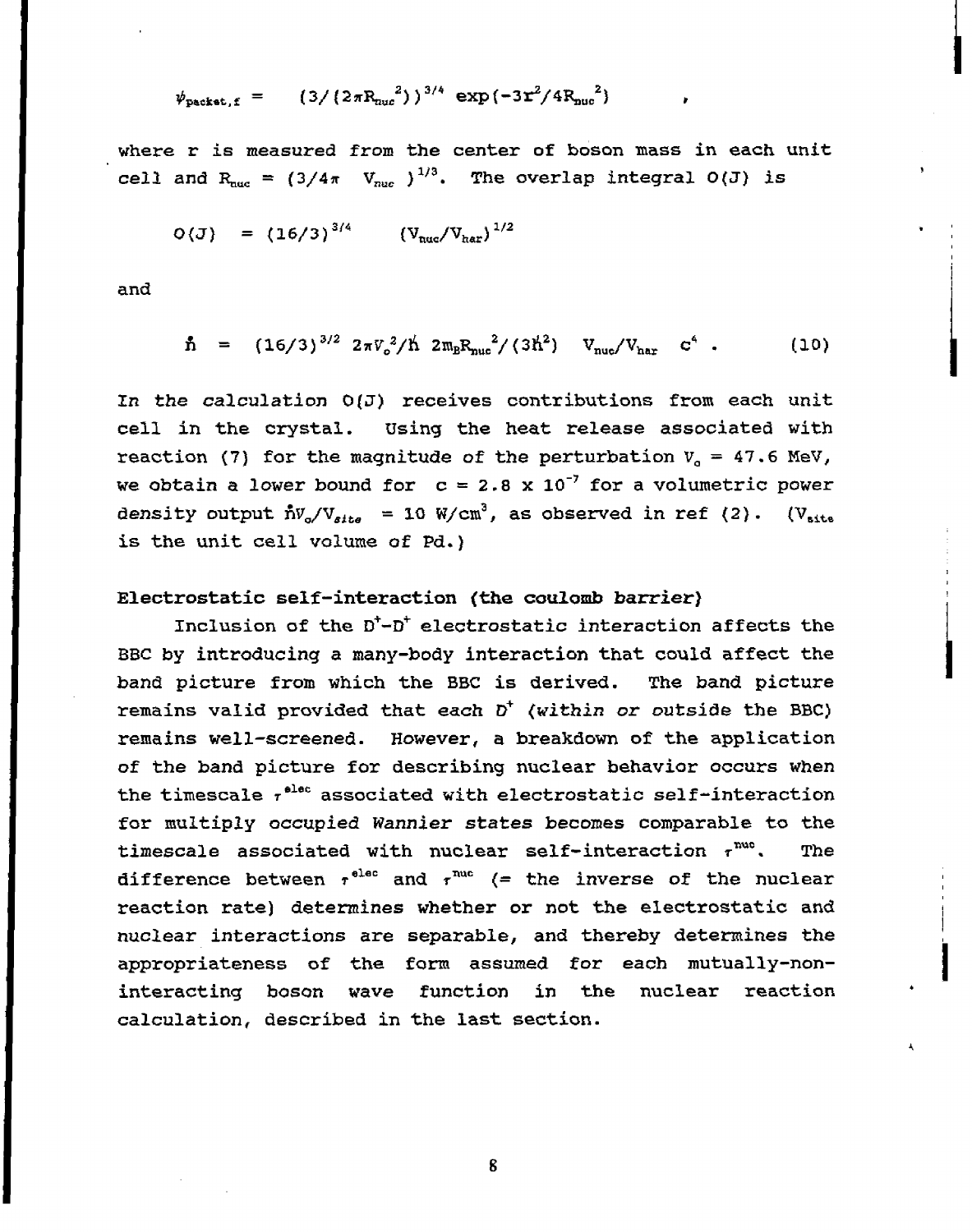$$
\psi_{\text{packet},f} = (3/(2\pi R_{\text{nuc}}^2))^{3/4} \exp(-3\mathbf{r}^2/4R_{\text{nuc}}^2)
$$

where r is measured from the center of boson mass in each unit cell and  $R_{\text{nuc}} = (3/4\pi V_{\text{nuc}})^{1/3}$ . The overlap integral  $O(J)$  is

$$
O(J) = (16/3)^{3/4} (V_{nuc}/V_{har})^{1/2}
$$

and

$$
\mathbf{\hat{n}} = (16/3)^{3/2} 2\pi V_o^2/\mathbf{\hat{n}} 2m_B R_{\text{nuc}}^2/(3\mathbf{\hat{n}}^2) V_{\text{nuc}}/V_{\text{nar}} c^4 . \qquad (10)
$$

In the calculation  $O(J)$  receives contributions from each unit cell in the crystal. Using the heat release associated with reaction (7) for the magnitude of the perturbation  $V_a = 47.6$  MeV, we obtain a lower bound for  $c = 2.8 \times 10^{-7}$  for a volumetric power density output  $\hbar V_o/V_{site}$  = 10 W/cm<sup>3</sup>, as observed in ref (2). (V<sub>site</sub> is the unit cell volume of Pd.)

# **Electrostatic self-interaction (the coulomb barrier)**

Inclusion of the  $D^{\dagger}-D^{\dagger}$  electrostatic interaction affects the BBC by introducing a many-body interaction that could affect the band picture from which the BBC is derived. The band picture remains valid provided that each  $D^+$  (within or outside the BBC) remains well-screened. However, a breakdown of the application of the band picture for describing nuclear behavior occurs when the timescale  $\tau^{elec}$  associated with electrostatic self-interaction for multiply occupied *Wannier states* becomes comparable to the timescale associated with nuclear self-interaction  $\tau^{\text{nuc}}$ . The difference between  $\tau^{\text{elec}}$  and  $\tau^{\text{nuc}}$  (= the inverse of the nuclear reaction rate) determines whether or not the electrostatic and nuclear interactions are separable, and thereby determines the appropriateness of the form assumed for each mutually-noninteracting boson wave function in the nuclear reaction calculation, described in the last section.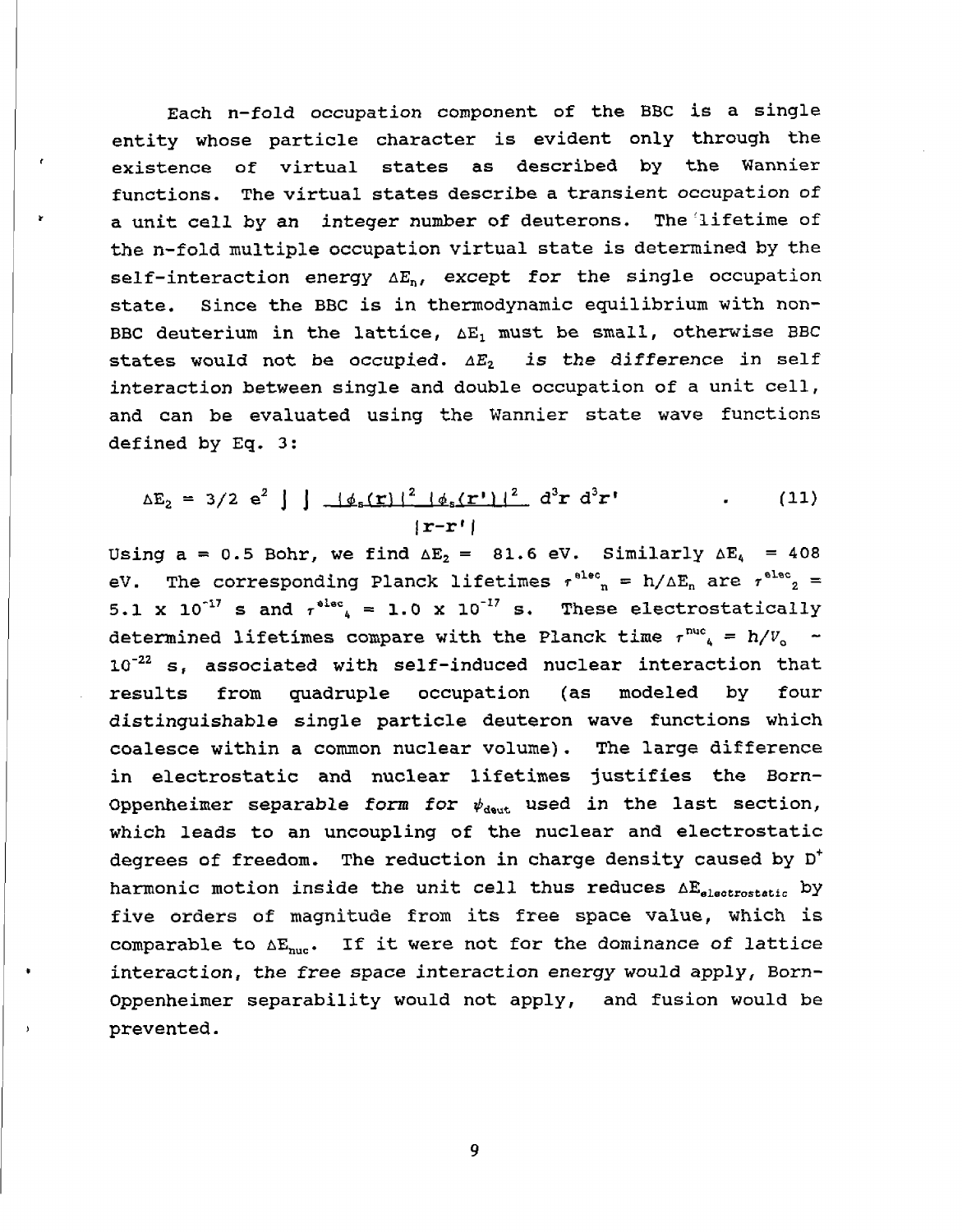Each n-fold occupation component of the BBC is a single entity whose particle character is evident only through the existence of virtual states as described by the Wannier functions. The virtual states describe a transient occupation of a unit cell by an integer number of deuterons. The lifetime of the n-fold multiple occupation virtual state is determined by the self-interaction energy  $\Delta E_n$ , except for the single occupation state. Since the BBC is in thermodynamic equilibrium with non-BBC deuterium in the lattice,  $\Delta E_1$  must be small, otherwise BBC states would not be occupied.  $\Delta E_2$  is the difference in self interaction between single and double occupation of a unit cell, and can be evaluated using the Wannier state wave functions defined by Eq. 3:

$$
\Delta E_2 = 3/2 e^2 \int \frac{d^2 f(r)}{r^2} \left[ \frac{d^2 f(r)}{r^2} \right]^2 d^3 r d^3 r'
$$
 (11)

Using a = 0.5 Bohr, we find  $\Delta E_2$  = 81.6 eV. Similarly  $\Delta E_4$  = 408 eV. The corresponding Planck lifetimes  $\tau^{\text{elec}}$ <sub>n</sub> = h/ $\Delta E_n$  are  $\tau^{\text{elec}}$ <sub>2</sub> = 5.1 x 10<sup>-17</sup> s and  $\tau^{\text{elec}}$  = 1.0 x 10<sup>-17</sup> s. These electrostatically determined lifetimes compare with the Planck time  $\tau^{\text{nuc}}$  = h/ $V_{\text{o}}$  -10<sup>-22</sup> s, associated with self-induced nuclear interaction that from quadruple occupation (as modeled by results four distinguishable single particle deuteron wave functions which coalesce within a common nuclear volume). The large difference in electrostatic and nuclear lifetimes justifies the Born-Oppenheimer separable form for  $\psi_{\text{deut}}$  used in the last section, which leads to an uncoupling of the nuclear and electrostatic degrees of freedom. The reduction in charge density caused by  $D^{\dagger}$ harmonic motion inside the unit cell thus reduces  $\Delta E_{electrostatic}$  by five orders of magnitude from its free space value, which is comparable to  $\Delta E_{\text{nuc}}$ . If it were not for the dominance of lattice interaction, the free space interaction energy would apply, Born-Oppenheimer separability would not apply, and fusion would be prevented.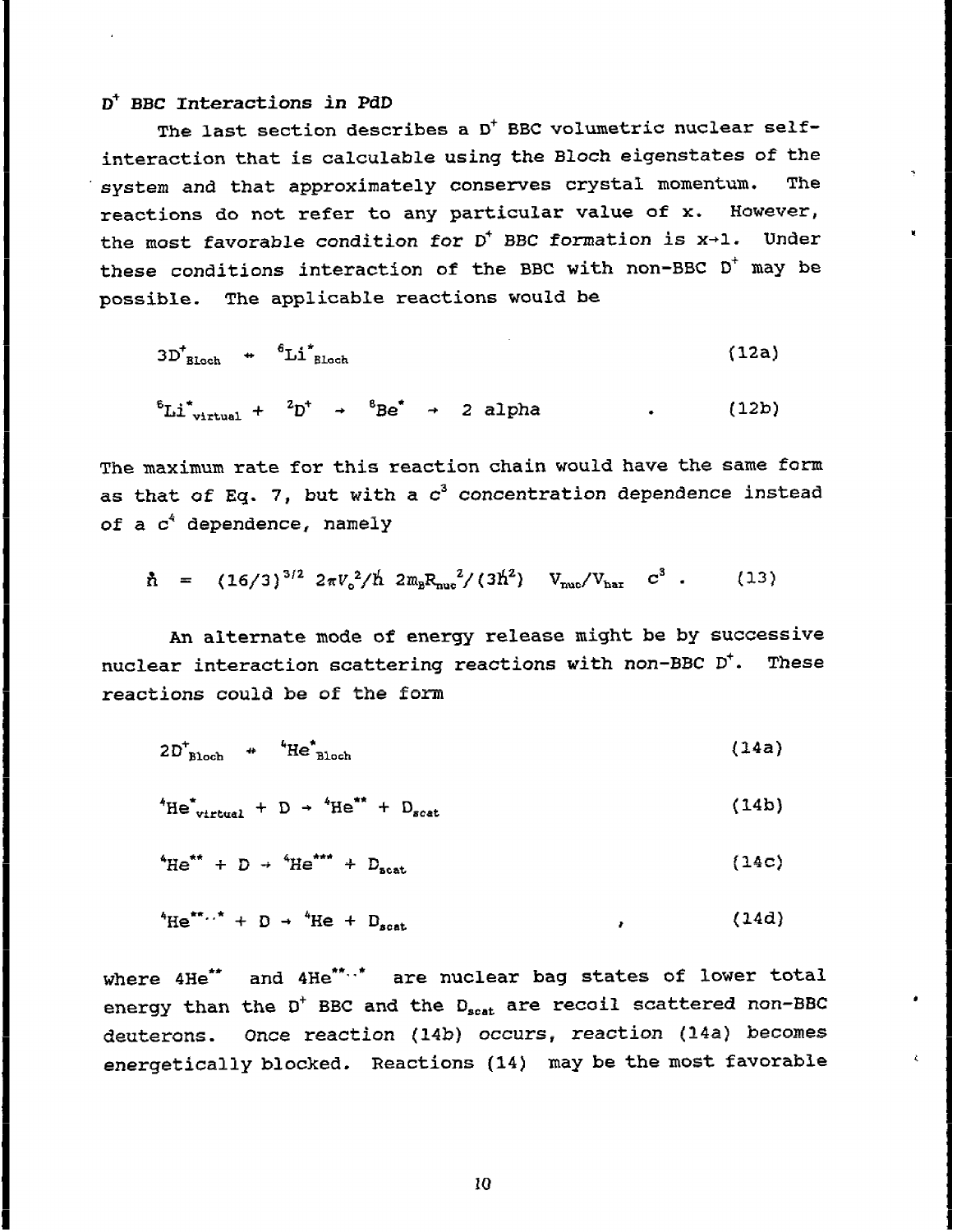#### D<sup>+</sup> BBC Interactions in PdD

The last section describes a D<sup>+</sup> BBC volumetric nuclear selfinteraction that is calculable using the Bloch eigenstates of the system and that approximately conserves crystal momentum. The reactions do not refer to any particular value of x. However, the most favorable condition for  $D^+$  BBC formation is  $x\rightarrow 1$ . Under these conditions interaction of the BBC with non-BBC D<sup>+</sup> may be possible. The applicable reactions would be

$$
3D_{\text{Bloch}}^+ \quad \leftarrow \quad \stackrel{6}{\text{Li}}_{\text{Bloch}}^* \tag{12a}
$$

 ${}^{6}\text{Li}^{*}$ <sub>virtual</sub> +  ${}^{2}\text{D}^{+}$  +  ${}^{6}\text{Be}^{*}$  + 2 alpha  $(12b)$ 

The maximum rate for this reaction chain would have the same form as that of Eq. 7, but with a  $c^3$  concentration dependence instead of a c<sup>4</sup> dependence, namely

$$
\hbar = (16/3)^{3/2} 2\pi V_0^2/\hbar 2m_B R_{\text{muc}}^2/(3\hbar^2) V_{\text{muc}}/V_{\text{har}} c^3 . \qquad (13)
$$

An alternate mode of energy release might be by successive nuclear interaction scattering reactions with non-BBC D<sup>+</sup>. These reactions could be of the form

$$
2D_{\text{Bloch}}^+ \quad {}^{\text{4}}\text{He}_{\text{Bloch}}^+ \tag{14a}
$$

 ${}^{4}He^{*}{}_{virtual}$  + D +  ${}^{4}He^{**}$  + D<sub>scat</sub>  $(14b)$ 

$$
{}^{4}\text{He}^{\star\star} + D \rightarrow {}^{4}\text{He}^{\star\star\star} + D_{\text{scat}} \tag{14c}
$$

$$
{}^{4}\text{He}^{\star\star\ldots\star} + D \rightarrow {}^{4}\text{He} + D_{\text{scat}} \tag{14d}
$$

where 4He\*\* and 4He\*\*..\* are nuclear bag states of lower total energy than the D<sup>+</sup> BBC and the D<sub>scat</sub> are recoil scattered non-BBC deuterons. Once reaction (14b) occurs, reaction (14a) becomes energetically blocked. Reactions (14) may be the most favorable